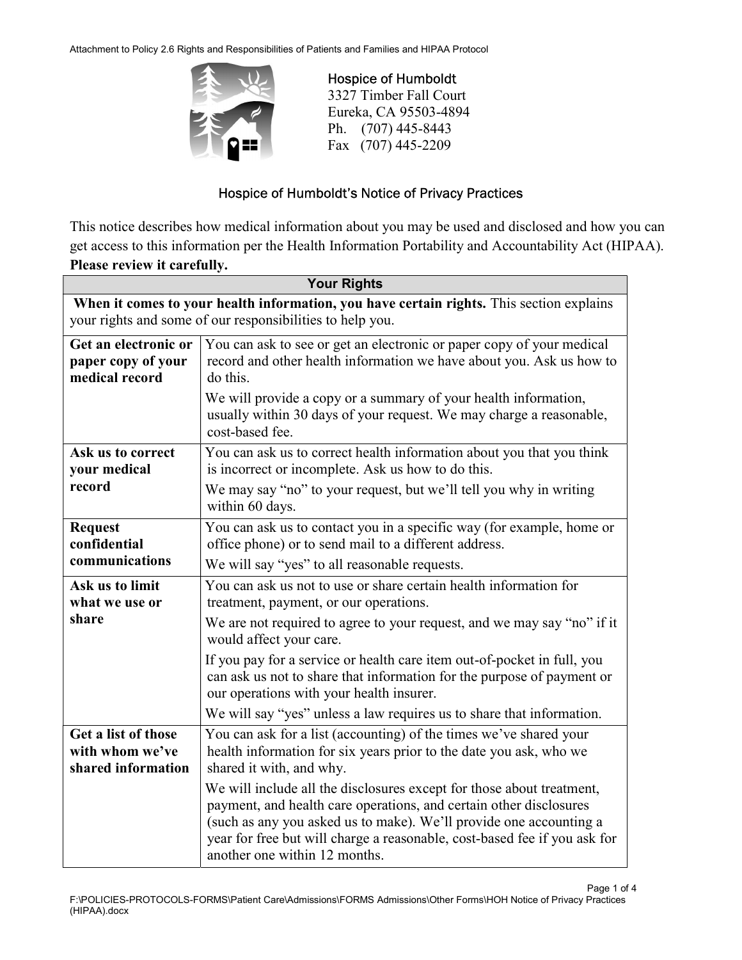Attachment to Policy 2.6 Rights and Responsibilities of Patients and Families and HIPAA Protocol



 Hospice of Humboldt 3327 Timber Fall Court Eureka, CA 95503-4894 Ph. (707) 445-8443 Fax (707) 445-2209

## Hospice of Humboldt's Notice of Privacy Practices

This notice describes how medical information about you may be used and disclosed and how you can get access to this information per the Health Information Portability and Accountability Act (HIPAA). Please review it carefully.

| <b>Your Rights</b>                                                                       |                                                                                                                                                                                                                                                                                                                                 |  |
|------------------------------------------------------------------------------------------|---------------------------------------------------------------------------------------------------------------------------------------------------------------------------------------------------------------------------------------------------------------------------------------------------------------------------------|--|
| When it comes to your health information, you have certain rights. This section explains |                                                                                                                                                                                                                                                                                                                                 |  |
|                                                                                          | your rights and some of our responsibilities to help you.                                                                                                                                                                                                                                                                       |  |
| Get an electronic or<br>paper copy of your<br>medical record                             | You can ask to see or get an electronic or paper copy of your medical<br>record and other health information we have about you. Ask us how to<br>do this.                                                                                                                                                                       |  |
|                                                                                          | We will provide a copy or a summary of your health information,<br>usually within 30 days of your request. We may charge a reasonable,<br>cost-based fee.                                                                                                                                                                       |  |
| Ask us to correct<br>your medical                                                        | You can ask us to correct health information about you that you think<br>is incorrect or incomplete. Ask us how to do this.                                                                                                                                                                                                     |  |
| record                                                                                   | We may say "no" to your request, but we'll tell you why in writing<br>within 60 days.                                                                                                                                                                                                                                           |  |
| <b>Request</b><br>confidential                                                           | You can ask us to contact you in a specific way (for example, home or<br>office phone) or to send mail to a different address.                                                                                                                                                                                                  |  |
| communications                                                                           | We will say "yes" to all reasonable requests.                                                                                                                                                                                                                                                                                   |  |
| Ask us to limit<br>what we use or                                                        | You can ask us not to use or share certain health information for<br>treatment, payment, or our operations.                                                                                                                                                                                                                     |  |
| share                                                                                    | We are not required to agree to your request, and we may say "no" if it<br>would affect your care.                                                                                                                                                                                                                              |  |
|                                                                                          | If you pay for a service or health care item out-of-pocket in full, you<br>can ask us not to share that information for the purpose of payment or<br>our operations with your health insurer.                                                                                                                                   |  |
|                                                                                          | We will say "yes" unless a law requires us to share that information.                                                                                                                                                                                                                                                           |  |
| Get a list of those<br>with whom we've<br>shared information                             | You can ask for a list (accounting) of the times we've shared your<br>health information for six years prior to the date you ask, who we<br>shared it with, and why.                                                                                                                                                            |  |
|                                                                                          | We will include all the disclosures except for those about treatment,<br>payment, and health care operations, and certain other disclosures<br>(such as any you asked us to make). We'll provide one accounting a<br>year for free but will charge a reasonable, cost-based fee if you ask for<br>another one within 12 months. |  |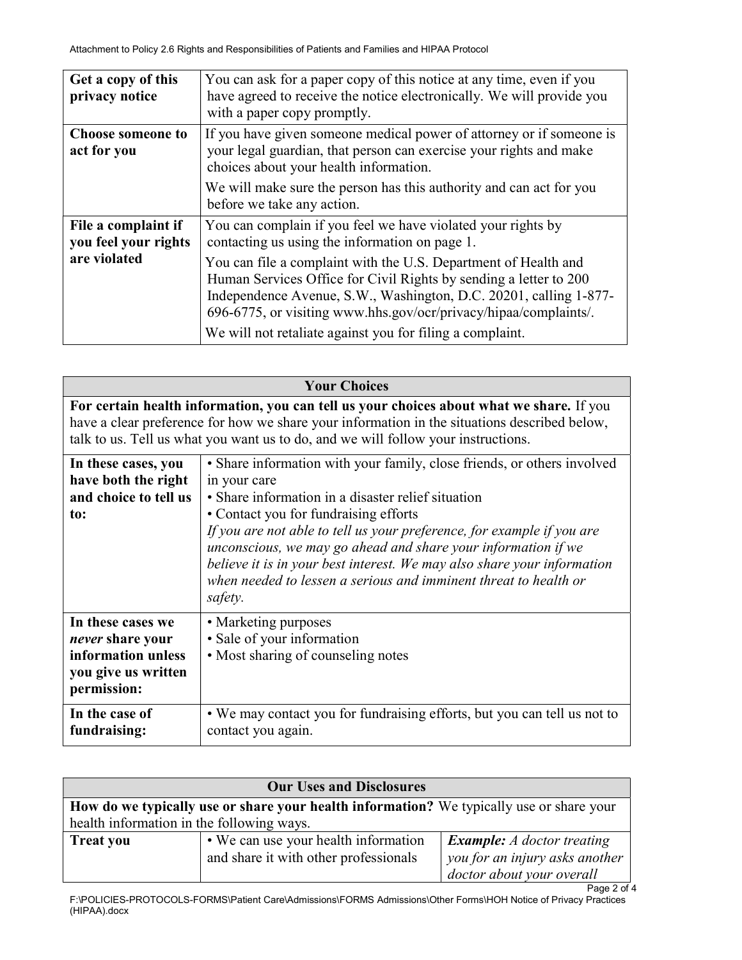| Get a copy of this<br>privacy notice        | You can ask for a paper copy of this notice at any time, even if you<br>have agreed to receive the notice electronically. We will provide you<br>with a paper copy promptly.                                                                                                                                                               |
|---------------------------------------------|--------------------------------------------------------------------------------------------------------------------------------------------------------------------------------------------------------------------------------------------------------------------------------------------------------------------------------------------|
| <b>Choose someone to</b><br>act for you     | If you have given someone medical power of attorney or if someone is<br>your legal guardian, that person can exercise your rights and make<br>choices about your health information.                                                                                                                                                       |
|                                             | We will make sure the person has this authority and can act for you<br>before we take any action.                                                                                                                                                                                                                                          |
| File a complaint if<br>you feel your rights | You can complain if you feel we have violated your rights by<br>contacting us using the information on page 1.                                                                                                                                                                                                                             |
| are violated                                | You can file a complaint with the U.S. Department of Health and<br>Human Services Office for Civil Rights by sending a letter to 200<br>Independence Avenue, S.W., Washington, D.C. 20201, calling 1-877-<br>696-6775, or visiting www.hhs.gov/ocr/privacy/hipaa/complaints/.<br>We will not retaliate against you for filing a complaint. |

| <b>Your Choices</b>                                                                                                                                                                                                                                                           |                                                                                                                                                                                                                                                                                                                                                                                                                                                                                             |  |
|-------------------------------------------------------------------------------------------------------------------------------------------------------------------------------------------------------------------------------------------------------------------------------|---------------------------------------------------------------------------------------------------------------------------------------------------------------------------------------------------------------------------------------------------------------------------------------------------------------------------------------------------------------------------------------------------------------------------------------------------------------------------------------------|--|
| For certain health information, you can tell us your choices about what we share. If you<br>have a clear preference for how we share your information in the situations described below,<br>talk to us. Tell us what you want us to do, and we will follow your instructions. |                                                                                                                                                                                                                                                                                                                                                                                                                                                                                             |  |
| In these cases, you<br>have both the right<br>and choice to tell us<br>to:                                                                                                                                                                                                    | • Share information with your family, close friends, or others involved<br>in your care<br>• Share information in a disaster relief situation<br>• Contact you for fundraising efforts<br>If you are not able to tell us your preference, for example if you are<br>unconscious, we may go ahead and share your information if we<br>believe it is in your best interest. We may also share your information<br>when needed to lessen a serious and imminent threat to health or<br>safety. |  |
| In these cases we<br><i>never</i> share your<br>information unless<br>you give us written<br>permission:                                                                                                                                                                      | • Marketing purposes<br>· Sale of your information<br>• Most sharing of counseling notes                                                                                                                                                                                                                                                                                                                                                                                                    |  |
| In the case of<br>fundraising:                                                                                                                                                                                                                                                | • We may contact you for fundraising efforts, but you can tell us not to<br>contact you again.                                                                                                                                                                                                                                                                                                                                                                                              |  |

| <b>Our Uses and Disclosures</b>           |                                                                                          |                                   |  |
|-------------------------------------------|------------------------------------------------------------------------------------------|-----------------------------------|--|
|                                           | How do we typically use or share your health information? We typically use or share your |                                   |  |
| health information in the following ways. |                                                                                          |                                   |  |
| <b>Treat you</b>                          | • We can use your health information                                                     | <b>Example:</b> A doctor treating |  |
|                                           | and share it with other professionals                                                    | you for an injury asks another    |  |
|                                           |                                                                                          | doctor about your overall         |  |
|                                           |                                                                                          | Page 2 of 4                       |  |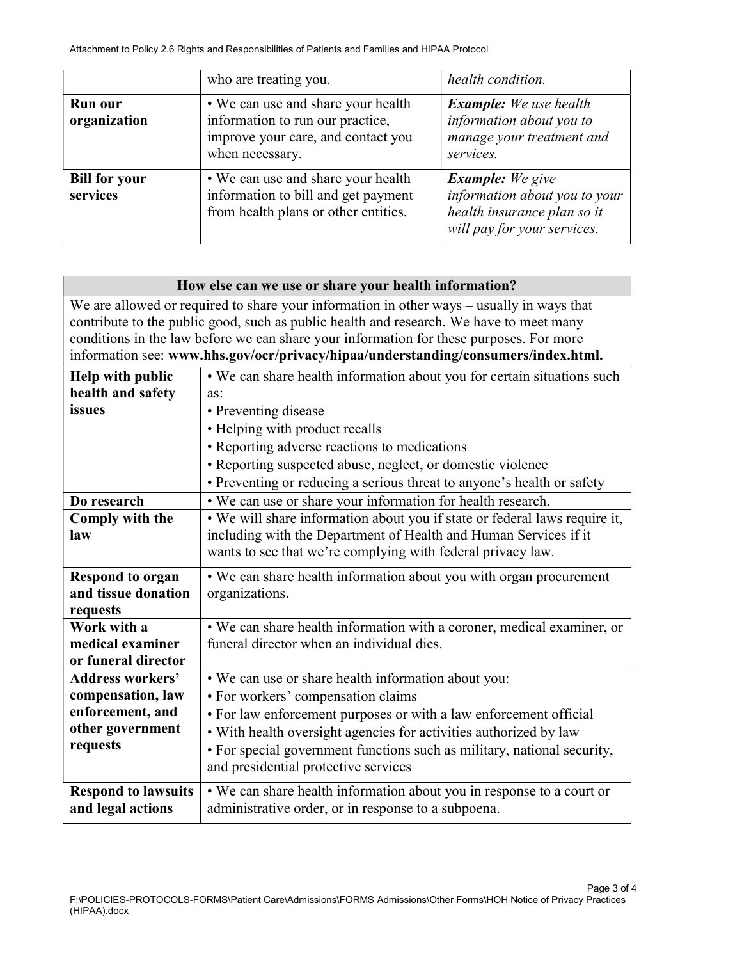|                                  | who are treating you.                                                                                                           | health condition.                                                                                                      |
|----------------------------------|---------------------------------------------------------------------------------------------------------------------------------|------------------------------------------------------------------------------------------------------------------------|
| <b>Run our</b><br>organization   | • We can use and share your health<br>information to run our practice,<br>improve your care, and contact you<br>when necessary. | <b>Example:</b> We use health<br>information about you to<br>manage your treatment and<br>services.                    |
| <b>Bill for your</b><br>services | • We can use and share your health<br>information to bill and get payment<br>from health plans or other entities.               | <b>Example:</b> We give<br>information about you to your<br>health insurance plan so it<br>will pay for your services. |

| How else can we use or share your health information?                                                                                                                                |                                                                            |  |
|--------------------------------------------------------------------------------------------------------------------------------------------------------------------------------------|----------------------------------------------------------------------------|--|
| We are allowed or required to share your information in other ways - usually in ways that<br>contribute to the public good, such as public health and research. We have to meet many |                                                                            |  |
| conditions in the law before we can share your information for these purposes. For more                                                                                              |                                                                            |  |
| information see: www.hhs.gov/ocr/privacy/hipaa/understanding/consumers/index.html.                                                                                                   |                                                                            |  |
| Help with public                                                                                                                                                                     | • We can share health information about you for certain situations such    |  |
| health and safety                                                                                                                                                                    | as:                                                                        |  |
| issues                                                                                                                                                                               | • Preventing disease                                                       |  |
|                                                                                                                                                                                      | • Helping with product recalls                                             |  |
|                                                                                                                                                                                      | • Reporting adverse reactions to medications                               |  |
|                                                                                                                                                                                      | • Reporting suspected abuse, neglect, or domestic violence                 |  |
|                                                                                                                                                                                      | • Preventing or reducing a serious threat to anyone's health or safety     |  |
| Do research                                                                                                                                                                          | • We can use or share your information for health research.                |  |
| Comply with the                                                                                                                                                                      | . We will share information about you if state or federal laws require it, |  |
| law                                                                                                                                                                                  | including with the Department of Health and Human Services if it           |  |
|                                                                                                                                                                                      | wants to see that we're complying with federal privacy law.                |  |
| <b>Respond to organ</b>                                                                                                                                                              | • We can share health information about you with organ procurement         |  |
| and tissue donation                                                                                                                                                                  | organizations.                                                             |  |
| requests                                                                                                                                                                             |                                                                            |  |
| Work with a                                                                                                                                                                          | • We can share health information with a coroner, medical examiner, or     |  |
| medical examiner                                                                                                                                                                     | funeral director when an individual dies.                                  |  |
| or funeral director                                                                                                                                                                  |                                                                            |  |
| <b>Address workers'</b>                                                                                                                                                              | • We can use or share health information about you:                        |  |
| compensation, law                                                                                                                                                                    | • For workers' compensation claims                                         |  |
| enforcement, and                                                                                                                                                                     | • For law enforcement purposes or with a law enforcement official          |  |
| other government<br>requests                                                                                                                                                         | • With health oversight agencies for activities authorized by law          |  |
|                                                                                                                                                                                      | • For special government functions such as military, national security,    |  |
|                                                                                                                                                                                      | and presidential protective services                                       |  |
| <b>Respond to lawsuits</b>                                                                                                                                                           | • We can share health information about you in response to a court or      |  |
| and legal actions                                                                                                                                                                    | administrative order, or in response to a subpoena.                        |  |